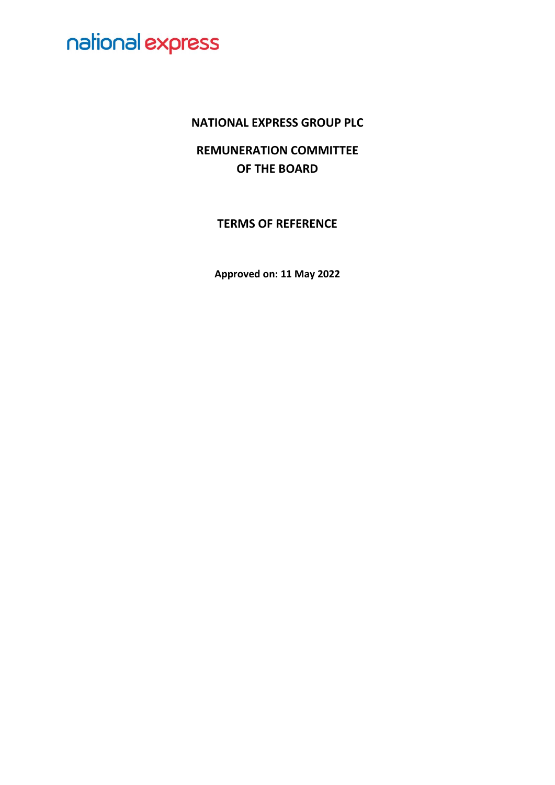### **NATIONAL EXPRESS GROUP PLC**

**REMUNERATION COMMITTEE OF THE BOARD**

**TERMS OF REFERENCE**

**Approved on: 11 May 2022**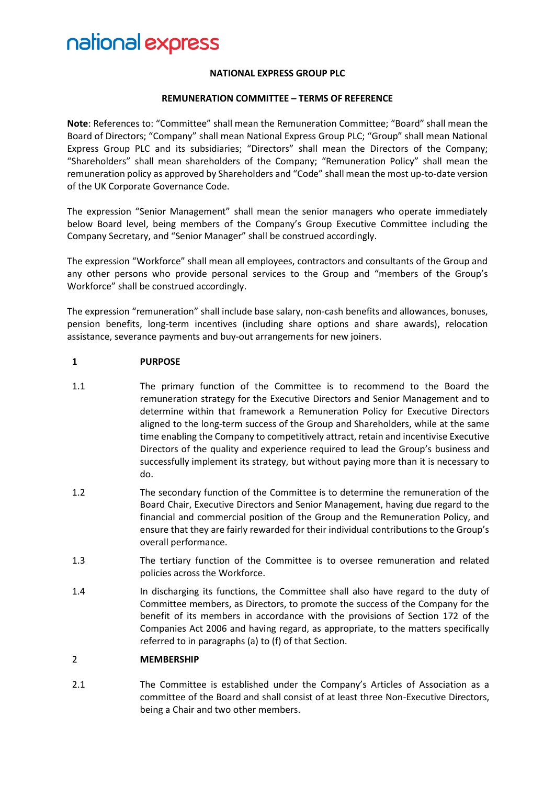#### **NATIONAL EXPRESS GROUP PLC**

#### **REMUNERATION COMMITTEE – TERMS OF REFERENCE**

**Note**: References to: "Committee" shall mean the Remuneration Committee; "Board" shall mean the Board of Directors; "Company" shall mean National Express Group PLC; "Group" shall mean National Express Group PLC and its subsidiaries; "Directors" shall mean the Directors of the Company; "Shareholders" shall mean shareholders of the Company; "Remuneration Policy" shall mean the remuneration policy as approved by Shareholders and "Code" shall mean the most up-to-date version of the UK Corporate Governance Code.

The expression "Senior Management" shall mean the senior managers who operate immediately below Board level, being members of the Company's Group Executive Committee including the Company Secretary, and "Senior Manager" shall be construed accordingly.

The expression "Workforce" shall mean all employees, contractors and consultants of the Group and any other persons who provide personal services to the Group and "members of the Group's Workforce" shall be construed accordingly.

The expression "remuneration" shall include base salary, non-cash benefits and allowances, bonuses, pension benefits, long-term incentives (including share options and share awards), relocation assistance, severance payments and buy-out arrangements for new joiners.

#### **1 PURPOSE**

- 1.1 The primary function of the Committee is to recommend to the Board the remuneration strategy for the Executive Directors and Senior Management and to determine within that framework a Remuneration Policy for Executive Directors aligned to the long-term success of the Group and Shareholders, while at the same time enabling the Company to competitively attract, retain and incentivise Executive Directors of the quality and experience required to lead the Group's business and successfully implement its strategy, but without paying more than it is necessary to do.
- 1.2 The secondary function of the Committee is to determine the remuneration of the Board Chair, Executive Directors and Senior Management, having due regard to the financial and commercial position of the Group and the Remuneration Policy, and ensure that they are fairly rewarded for their individual contributions to the Group's overall performance.
- 1.3 The tertiary function of the Committee is to oversee remuneration and related policies across the Workforce.
- 1.4 In discharging its functions, the Committee shall also have regard to the duty of Committee members, as Directors, to promote the success of the Company for the benefit of its members in accordance with the provisions of Section 172 of the Companies Act 2006 and having regard, as appropriate, to the matters specifically referred to in paragraphs (a) to (f) of that Section.

#### 2 **MEMBERSHIP**

2.1 The Committee is established under the Company's Articles of Association as a committee of the Board and shall consist of at least three Non-Executive Directors, being a Chair and two other members.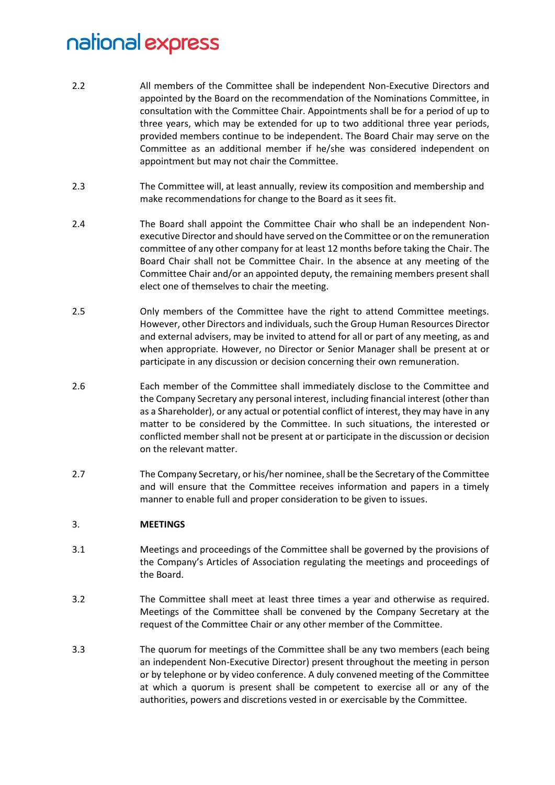- 2.2 All members of the Committee shall be independent Non-Executive Directors and appointed by the Board on the recommendation of the Nominations Committee, in consultation with the Committee Chair. Appointments shall be for a period of up to three years, which may be extended for up to two additional three year periods, provided members continue to be independent. The Board Chair may serve on the Committee as an additional member if he/she was considered independent on appointment but may not chair the Committee.
- 2.3 The Committee will, at least annually, review its composition and membership and make recommendations for change to the Board as it sees fit.
- 2.4 The Board shall appoint the Committee Chair who shall be an independent Nonexecutive Director and should have served on the Committee or on the remuneration committee of any other company for at least 12 months before taking the Chair. The Board Chair shall not be Committee Chair. In the absence at any meeting of the Committee Chair and/or an appointed deputy, the remaining members present shall elect one of themselves to chair the meeting.
- 2.5 Only members of the Committee have the right to attend Committee meetings. However, other Directors and individuals, such the Group Human Resources Director and external advisers, may be invited to attend for all or part of any meeting, as and when appropriate. However, no Director or Senior Manager shall be present at or participate in any discussion or decision concerning their own remuneration.
- 2.6 Each member of the Committee shall immediately disclose to the Committee and the Company Secretary any personal interest, including financial interest (other than as a Shareholder), or any actual or potential conflict of interest, they may have in any matter to be considered by the Committee. In such situations, the interested or conflicted member shall not be present at or participate in the discussion or decision on the relevant matter.
- 2.7 The Company Secretary, or his/her nominee, shall be the Secretary of the Committee and will ensure that the Committee receives information and papers in a timely manner to enable full and proper consideration to be given to issues.

#### 3. **MEETINGS**

- 3.1 Meetings and proceedings of the Committee shall be governed by the provisions of the Company's Articles of Association regulating the meetings and proceedings of the Board.
- 3.2 The Committee shall meet at least three times a year and otherwise as required. Meetings of the Committee shall be convened by the Company Secretary at the request of the Committee Chair or any other member of the Committee.
- 3.3 The quorum for meetings of the Committee shall be any two members (each being an independent Non-Executive Director) present throughout the meeting in person or by telephone or by video conference. A duly convened meeting of the Committee at which a quorum is present shall be competent to exercise all or any of the authorities, powers and discretions vested in or exercisable by the Committee.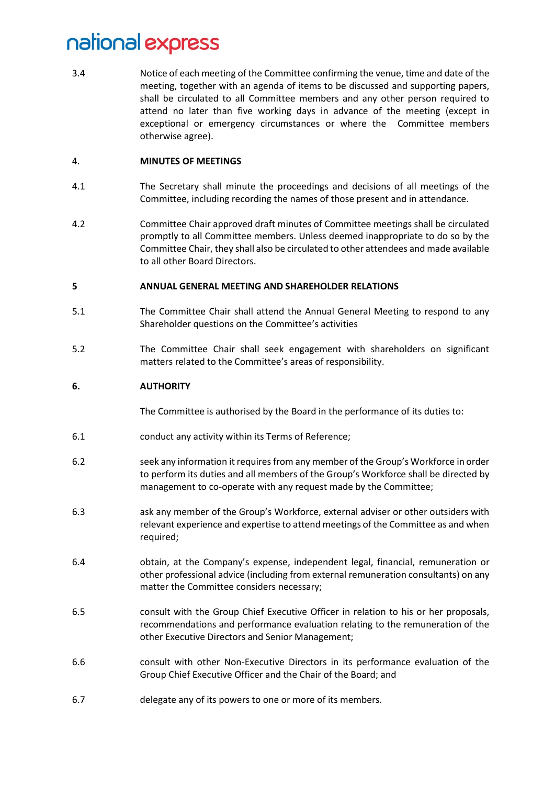3.4 Notice of each meeting of the Committee confirming the venue, time and date of the meeting, together with an agenda of items to be discussed and supporting papers, shall be circulated to all Committee members and any other person required to attend no later than five working days in advance of the meeting (except in exceptional or emergency circumstances or where the Committee members otherwise agree).

#### 4. **MINUTES OF MEETINGS**

- 4.1 The Secretary shall minute the proceedings and decisions of all meetings of the Committee, including recording the names of those present and in attendance.
- 4.2 Committee Chair approved draft minutes of Committee meetings shall be circulated promptly to all Committee members. Unless deemed inappropriate to do so by the Committee Chair, they shall also be circulated to other attendees and made available to all other Board Directors.

#### **5 ANNUAL GENERAL MEETING AND SHAREHOLDER RELATIONS**

- 5.1 The Committee Chair shall attend the Annual General Meeting to respond to any Shareholder questions on the Committee's activities
- 5.2 The Committee Chair shall seek engagement with shareholders on significant matters related to the Committee's areas of responsibility.

#### **6. AUTHORITY**

The Committee is authorised by the Board in the performance of its duties to:

- 6.1 conduct any activity within its Terms of Reference;
- 6.2 seek any information it requires from any member of the Group's Workforce in order to perform its duties and all members of the Group's Workforce shall be directed by management to co-operate with any request made by the Committee;
- 6.3 ask any member of the Group's Workforce, external adviser or other outsiders with relevant experience and expertise to attend meetings of the Committee as and when required;
- 6.4 obtain, at the Company's expense, independent legal, financial, remuneration or other professional advice (including from external remuneration consultants) on any matter the Committee considers necessary;
- 6.5 consult with the Group Chief Executive Officer in relation to his or her proposals, recommendations and performance evaluation relating to the remuneration of the other Executive Directors and Senior Management;
- 6.6 consult with other Non-Executive Directors in its performance evaluation of the Group Chief Executive Officer and the Chair of the Board; and
- 6.7 delegate any of its powers to one or more of its members.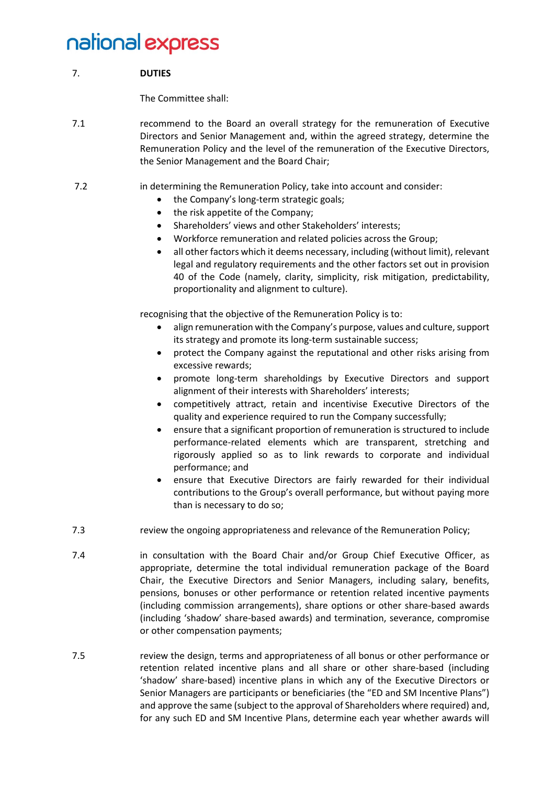### 7. **DUTIES**

The Committee shall:

- 7.1 recommend to the Board an overall strategy for the remuneration of Executive Directors and Senior Management and, within the agreed strategy, determine the Remuneration Policy and the level of the remuneration of the Executive Directors, the Senior Management and the Board Chair;
- 7.2 in determining the Remuneration Policy, take into account and consider:
	- the Company's long-term strategic goals;
	- the risk appetite of the Company;
	- Shareholders' views and other Stakeholders' interests;
	- Workforce remuneration and related policies across the Group;
	- all other factors which it deems necessary, including (without limit), relevant legal and regulatory requirements and the other factors set out in provision 40 of the Code (namely, clarity, simplicity, risk mitigation, predictability, proportionality and alignment to culture).

recognising that the objective of the Remuneration Policy is to:

- align remuneration with the Company's purpose, values and culture, support its strategy and promote its long-term sustainable success;
- protect the Company against the reputational and other risks arising from excessive rewards;
- promote long-term shareholdings by Executive Directors and support alignment of their interests with Shareholders' interests;
- competitively attract, retain and incentivise Executive Directors of the quality and experience required to run the Company successfully;
- ensure that a significant proportion of remuneration is structured to include performance-related elements which are transparent, stretching and rigorously applied so as to link rewards to corporate and individual performance; and
- ensure that Executive Directors are fairly rewarded for their individual contributions to the Group's overall performance, but without paying more than is necessary to do so;
- 7.3 review the ongoing appropriateness and relevance of the Remuneration Policy;
- 7.4 in consultation with the Board Chair and/or Group Chief Executive Officer, as appropriate, determine the total individual remuneration package of the Board Chair, the Executive Directors and Senior Managers, including salary, benefits, pensions, bonuses or other performance or retention related incentive payments (including commission arrangements), share options or other share-based awards (including 'shadow' share-based awards) and termination, severance, compromise or other compensation payments;
- 7.5 review the design, terms and appropriateness of all bonus or other performance or retention related incentive plans and all share or other share-based (including 'shadow' share-based) incentive plans in which any of the Executive Directors or Senior Managers are participants or beneficiaries (the "ED and SM Incentive Plans") and approve the same (subject to the approval of Shareholders where required) and, for any such ED and SM Incentive Plans, determine each year whether awards will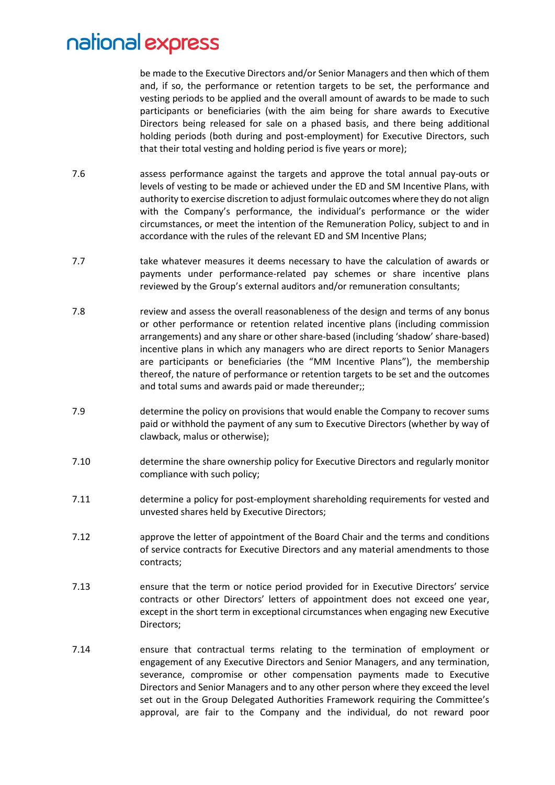be made to the Executive Directors and/or Senior Managers and then which of them and, if so, the performance or retention targets to be set, the performance and vesting periods to be applied and the overall amount of awards to be made to such participants or beneficiaries (with the aim being for share awards to Executive Directors being released for sale on a phased basis, and there being additional holding periods (both during and post-employment) for Executive Directors, such that their total vesting and holding period is five years or more);

- 7.6 assess performance against the targets and approve the total annual pay-outs or levels of vesting to be made or achieved under the ED and SM Incentive Plans, with authority to exercise discretion to adjust formulaic outcomes where they do not align with the Company's performance, the individual's performance or the wider circumstances, or meet the intention of the Remuneration Policy, subject to and in accordance with the rules of the relevant ED and SM Incentive Plans;
- 7.7 take whatever measures it deems necessary to have the calculation of awards or payments under performance-related pay schemes or share incentive plans reviewed by the Group's external auditors and/or remuneration consultants;
- 7.8 review and assess the overall reasonableness of the design and terms of any bonus or other performance or retention related incentive plans (including commission arrangements) and any share or other share-based (including 'shadow' share-based) incentive plans in which any managers who are direct reports to Senior Managers are participants or beneficiaries (the "MM Incentive Plans"), the membership thereof, the nature of performance or retention targets to be set and the outcomes and total sums and awards paid or made thereunder;;
- 7.9 determine the policy on provisions that would enable the Company to recover sums paid or withhold the payment of any sum to Executive Directors (whether by way of clawback, malus or otherwise);
- 7.10 determine the share ownership policy for Executive Directors and regularly monitor compliance with such policy;
- 7.11 determine a policy for post-employment shareholding requirements for vested and unvested shares held by Executive Directors;
- 7.12 approve the letter of appointment of the Board Chair and the terms and conditions of service contracts for Executive Directors and any material amendments to those contracts;
- 7.13 ensure that the term or notice period provided for in Executive Directors' service contracts or other Directors' letters of appointment does not exceed one year, except in the short term in exceptional circumstances when engaging new Executive Directors;
- 7.14 ensure that contractual terms relating to the termination of employment or engagement of any Executive Directors and Senior Managers, and any termination, severance, compromise or other compensation payments made to Executive Directors and Senior Managers and to any other person where they exceed the level set out in the Group Delegated Authorities Framework requiring the Committee's approval, are fair to the Company and the individual, do not reward poor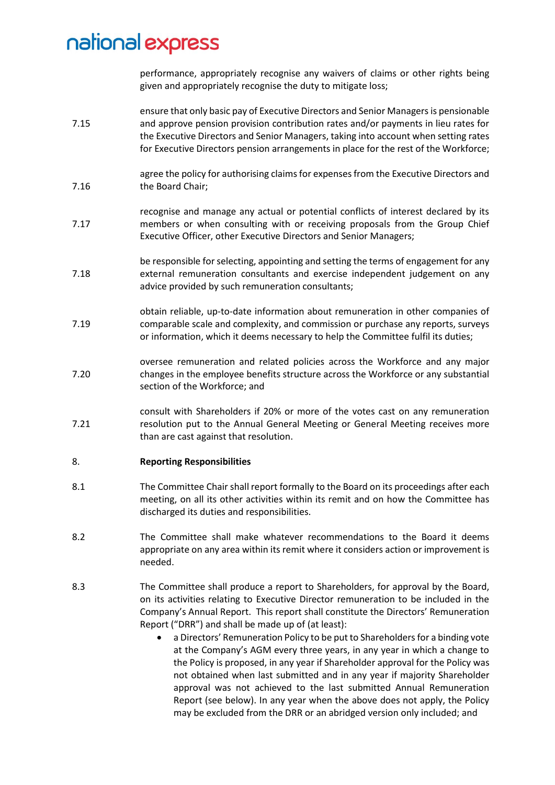performance, appropriately recognise any waivers of claims or other rights being given and appropriately recognise the duty to mitigate loss;

- 7.15 ensure that only basic pay of Executive Directors and Senior Managersis pensionable and approve pension provision contribution rates and/or payments in lieu rates for the Executive Directors and Senior Managers, taking into account when setting rates for Executive Directors pension arrangements in place for the rest of the Workforce;
- 7.16 agree the policy for authorising claims for expenses from the Executive Directors and the Board Chair;
- 7.17 recognise and manage any actual or potential conflicts of interest declared by its members or when consulting with or receiving proposals from the Group Chief Executive Officer, other Executive Directors and Senior Managers;
- 7.18 be responsible for selecting, appointing and setting the terms of engagement for any external remuneration consultants and exercise independent judgement on any advice provided by such remuneration consultants;
- 7.19 obtain reliable, up-to-date information about remuneration in other companies of comparable scale and complexity, and commission or purchase any reports, surveys or information, which it deems necessary to help the Committee fulfil its duties;
- 7.20 oversee remuneration and related policies across the Workforce and any major changes in the employee benefits structure across the Workforce or any substantial section of the Workforce; and
- 7.21 consult with Shareholders if 20% or more of the votes cast on any remuneration resolution put to the Annual General Meeting or General Meeting receives more than are cast against that resolution.

#### 8. **Reporting Responsibilities**

- 8.1 The Committee Chair shall report formally to the Board on its proceedings after each meeting, on all its other activities within its remit and on how the Committee has discharged its duties and responsibilities.
- 8.2 The Committee shall make whatever recommendations to the Board it deems appropriate on any area within its remit where it considers action or improvement is needed.
- 8.3 The Committee shall produce a report to Shareholders, for approval by the Board, on its activities relating to Executive Director remuneration to be included in the Company's Annual Report. This report shall constitute the Directors' Remuneration Report ("DRR") and shall be made up of (at least):
	- a Directors' Remuneration Policy to be put to Shareholders for a binding vote at the Company's AGM every three years, in any year in which a change to the Policy is proposed, in any year if Shareholder approval for the Policy was not obtained when last submitted and in any year if majority Shareholder approval was not achieved to the last submitted Annual Remuneration Report (see below). In any year when the above does not apply, the Policy may be excluded from the DRR or an abridged version only included; and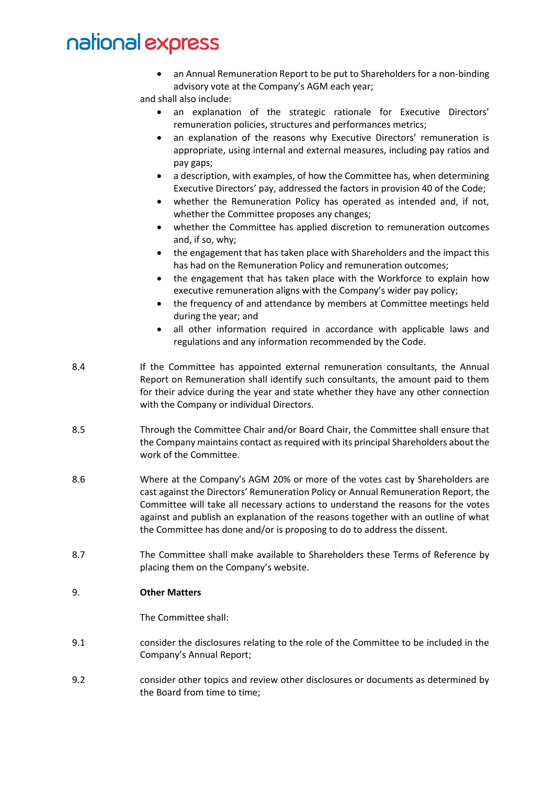• an Annual Remuneration Report to be put to Shareholders for a non-binding advisory vote at the Company's AGM each year;

and shall also include:

- an explanation of the strategic rationale for Executive Directors' remuneration policies, structures and performances metrics;
- an explanation of the reasons why Executive Directors' remuneration is appropriate, using internal and external measures, including pay ratios and pay gaps;
- a description, with examples, of how the Committee has, when determining Executive Directors' pay, addressed the factors in provision 40 of the Code;
- whether the Remuneration Policy has operated as intended and, if not, whether the Committee proposes any changes;
- whether the Committee has applied discretion to remuneration outcomes and, if so, why;
- the engagement that has taken place with Shareholders and the impact this has had on the Remuneration Policy and remuneration outcomes;
- the engagement that has taken place with the Workforce to explain how executive remuneration aligns with the Company's wider pay policy;
- the frequency of and attendance by members at Committee meetings held during the year; and
- all other information required in accordance with applicable laws and regulations and any information recommended by the Code.
- 8.4 If the Committee has appointed external remuneration consultants, the Annual Report on Remuneration shall identify such consultants, the amount paid to them for their advice during the year and state whether they have any other connection with the Company or individual Directors.
- 8.5 Through the Committee Chair and/or Board Chair, the Committee shall ensure that the Company maintains contact as required with its principal Shareholders about the work of the Committee.
- 8.6 Where at the Company's AGM 20% or more of the votes cast by Shareholders are cast against the Directors' Remuneration Policy or Annual Remuneration Report, the Committee will take all necessary actions to understand the reasons for the votes against and publish an explanation of the reasons together with an outline of what the Committee has done and/or is proposing to do to address the dissent.
- 8.7 The Committee shall make available to Shareholders these Terms of Reference by placing them on the Company's website.

#### 9. **Other Matters**

The Committee shall:

- 9.1 consider the disclosures relating to the role of the Committee to be included in the Company's Annual Report;
- 9.2 consider other topics and review other disclosures or documents as determined by the Board from time to time;